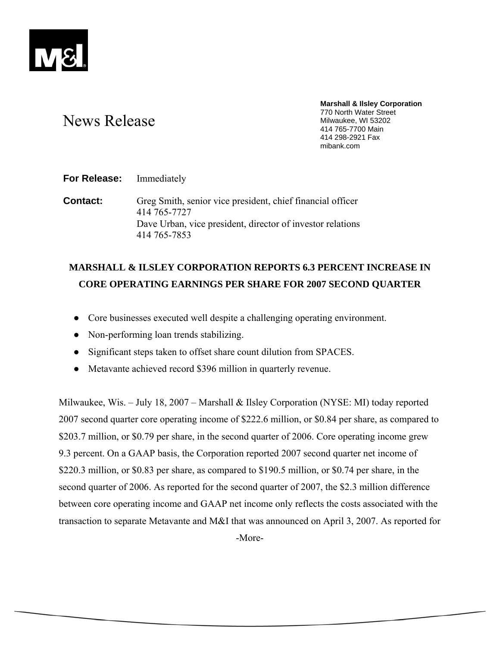

# News Release

**Marshall & Ilsley Corporation**  770 North Water Street Milwaukee, WI 53202 414 765-7700 Main 414 298-2921 Fax mibank.com

**For Release:** Immediately

**Contact:** Greg Smith, senior vice president, chief financial officer 414 765-7727 Dave Urban, vice president, director of investor relations 414 765-7853

## **MARSHALL & ILSLEY CORPORATION REPORTS 6.3 PERCENT INCREASE IN CORE OPERATING EARNINGS PER SHARE FOR 2007 SECOND QUARTER**

- Core businesses executed well despite a challenging operating environment.
- Non-performing loan trends stabilizing.
- Significant steps taken to offset share count dilution from SPACES.
- Metavante achieved record \$396 million in quarterly revenue.

Milwaukee, Wis. – July 18, 2007 – Marshall & Ilsley Corporation (NYSE: MI) today reported 2007 second quarter core operating income of \$222.6 million, or \$0.84 per share, as compared to \$203.7 million, or \$0.79 per share, in the second quarter of 2006. Core operating income grew 9.3 percent. On a GAAP basis, the Corporation reported 2007 second quarter net income of \$220.3 million, or \$0.83 per share, as compared to \$190.5 million, or \$0.74 per share, in the second quarter of 2006. As reported for the second quarter of 2007, the \$2.3 million difference between core operating income and GAAP net income only reflects the costs associated with the transaction to separate Metavante and M&I that was announced on April 3, 2007. As reported for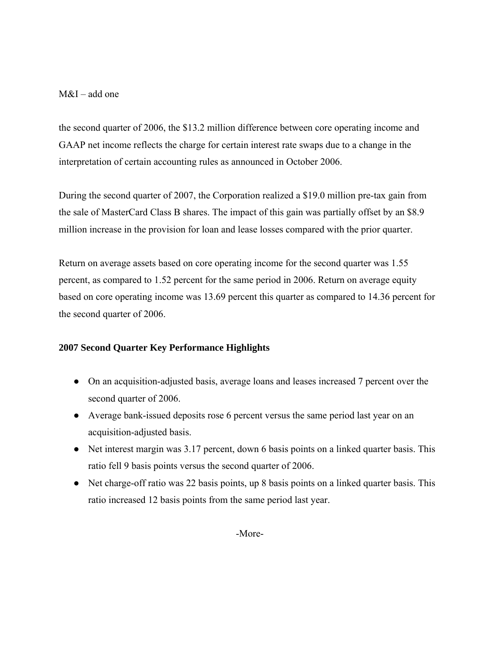## M&I – add one

the second quarter of 2006, the \$13.2 million difference between core operating income and GAAP net income reflects the charge for certain interest rate swaps due to a change in the interpretation of certain accounting rules as announced in October 2006.

During the second quarter of 2007, the Corporation realized a \$19.0 million pre-tax gain from the sale of MasterCard Class B shares. The impact of this gain was partially offset by an \$8.9 million increase in the provision for loan and lease losses compared with the prior quarter.

Return on average assets based on core operating income for the second quarter was 1.55 percent, as compared to 1.52 percent for the same period in 2006. Return on average equity based on core operating income was 13.69 percent this quarter as compared to 14.36 percent for the second quarter of 2006.

### **2007 Second Quarter Key Performance Highlights**

- On an acquisition-adjusted basis, average loans and leases increased 7 percent over the second quarter of 2006.
- Average bank-issued deposits rose 6 percent versus the same period last year on an acquisition-adjusted basis.
- Net interest margin was 3.17 percent, down 6 basis points on a linked quarter basis. This ratio fell 9 basis points versus the second quarter of 2006.
- Net charge-off ratio was 22 basis points, up 8 basis points on a linked quarter basis. This ratio increased 12 basis points from the same period last year.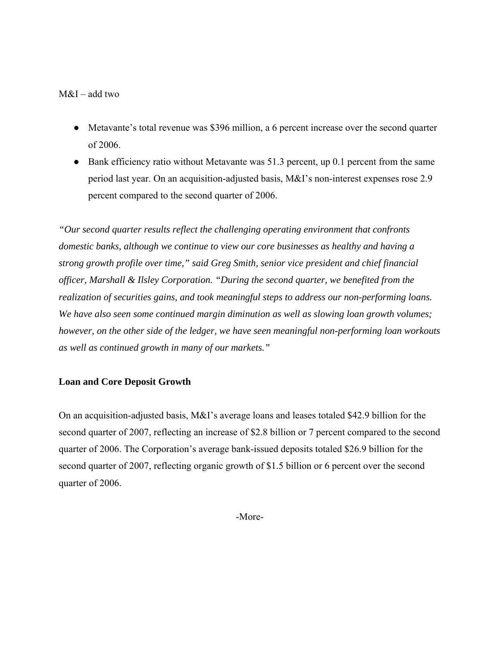## M&I – add two

- Metavante's total revenue was \$396 million, a 6 percent increase over the second quarter of 2006.
- Bank efficiency ratio without Metavante was 51.3 percent, up 0.1 percent from the same period last year. On an acquisition-adjusted basis, M&I's non-interest expenses rose 2.9 percent compared to the second quarter of 2006.

*"Our second quarter results reflect the challenging operating environment that confronts domestic banks, although we continue to view our core businesses as healthy and having a strong growth profile over time," said Greg Smith, senior vice president and chief financial officer, Marshall & Ilsley Corporation. "During the second quarter, we benefited from the realization of securities gains, and took meaningful steps to address our non-performing loans. We have also seen some continued margin diminution as well as slowing loan growth volumes; however, on the other side of the ledger, we have seen meaningful non-performing loan workouts as well as continued growth in many of our markets."* 

## **Loan and Core Deposit Growth**

On an acquisition-adjusted basis, M&I's average loans and leases totaled \$42.9 billion for the second quarter of 2007, reflecting an increase of \$2.8 billion or 7 percent compared to the second quarter of 2006. The Corporation's average bank-issued deposits totaled \$26.9 billion for the second quarter of 2007, reflecting organic growth of \$1.5 billion or 6 percent over the second quarter of 2006.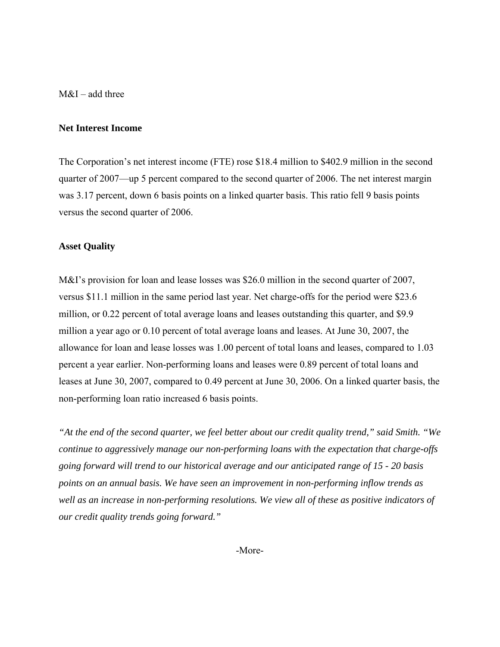M&I – add three

#### **Net Interest Income**

The Corporation's net interest income (FTE) rose \$18.4 million to \$402.9 million in the second quarter of 2007—up 5 percent compared to the second quarter of 2006. The net interest margin was 3.17 percent, down 6 basis points on a linked quarter basis. This ratio fell 9 basis points versus the second quarter of 2006.

#### **Asset Quality**

M&I's provision for loan and lease losses was \$26.0 million in the second quarter of 2007, versus \$11.1 million in the same period last year. Net charge-offs for the period were \$23.6 million, or 0.22 percent of total average loans and leases outstanding this quarter, and \$9.9 million a year ago or 0.10 percent of total average loans and leases. At June 30, 2007, the allowance for loan and lease losses was 1.00 percent of total loans and leases, compared to 1.03 percent a year earlier. Non-performing loans and leases were 0.89 percent of total loans and leases at June 30, 2007, compared to 0.49 percent at June 30, 2006. On a linked quarter basis, the non-performing loan ratio increased 6 basis points.

*"At the end of the second quarter, we feel better about our credit quality trend," said Smith. "We continue to aggressively manage our non-performing loans with the expectation that charge-offs going forward will trend to our historical average and our anticipated range of 15 - 20 basis points on an annual basis. We have seen an improvement in non-performing inflow trends as well as an increase in non-performing resolutions. We view all of these as positive indicators of our credit quality trends going forward."*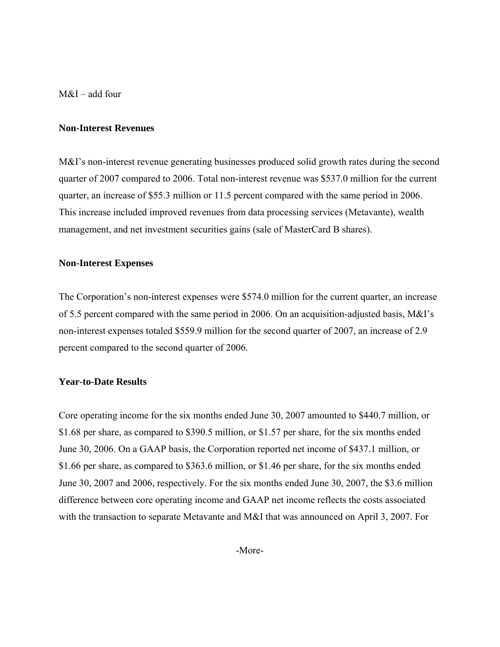M&I – add four

#### **Non-Interest Revenues**

M&I's non-interest revenue generating businesses produced solid growth rates during the second quarter of 2007 compared to 2006. Total non-interest revenue was \$537.0 million for the current quarter, an increase of \$55.3 million or 11.5 percent compared with the same period in 2006. This increase included improved revenues from data processing services (Metavante), wealth management, and net investment securities gains (sale of MasterCard B shares).

### **Non-Interest Expenses**

The Corporation's non-interest expenses were \$574.0 million for the current quarter, an increase of 5.5 percent compared with the same period in 2006. On an acquisition-adjusted basis, M&I's non-interest expenses totaled \$559.9 million for the second quarter of 2007, an increase of 2.9 percent compared to the second quarter of 2006.

### **Year-to-Date Results**

Core operating income for the six months ended June 30, 2007 amounted to \$440.7 million, or \$1.68 per share, as compared to \$390.5 million, or \$1.57 per share, for the six months ended June 30, 2006. On a GAAP basis, the Corporation reported net income of \$437.1 million, or \$1.66 per share, as compared to \$363.6 million, or \$1.46 per share, for the six months ended June 30, 2007 and 2006, respectively. For the six months ended June 30, 2007, the \$3.6 million difference between core operating income and GAAP net income reflects the costs associated with the transaction to separate Metavante and M&I that was announced on April 3, 2007. For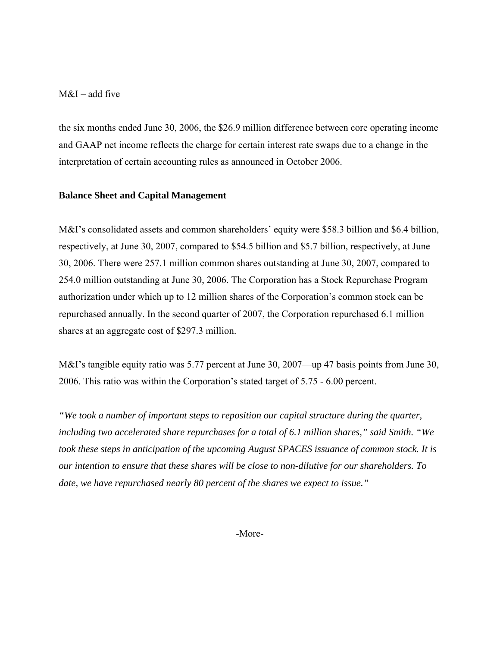## $M&I$  – add five

the six months ended June 30, 2006, the \$26.9 million difference between core operating income and GAAP net income reflects the charge for certain interest rate swaps due to a change in the interpretation of certain accounting rules as announced in October 2006.

#### **Balance Sheet and Capital Management**

M&I's consolidated assets and common shareholders' equity were \$58.3 billion and \$6.4 billion, respectively, at June 30, 2007, compared to \$54.5 billion and \$5.7 billion, respectively, at June 30, 2006. There were 257.1 million common shares outstanding at June 30, 2007, compared to 254.0 million outstanding at June 30, 2006. The Corporation has a Stock Repurchase Program authorization under which up to 12 million shares of the Corporation's common stock can be repurchased annually. In the second quarter of 2007, the Corporation repurchased 6.1 million shares at an aggregate cost of \$297.3 million.

M&I's tangible equity ratio was 5.77 percent at June 30, 2007—up 47 basis points from June 30, 2006. This ratio was within the Corporation's stated target of 5.75 - 6.00 percent.

*"We took a number of important steps to reposition our capital structure during the quarter, including two accelerated share repurchases for a total of 6.1 million shares," said Smith. "We took these steps in anticipation of the upcoming August SPACES issuance of common stock. It is our intention to ensure that these shares will be close to non-dilutive for our shareholders. To date, we have repurchased nearly 80 percent of the shares we expect to issue."*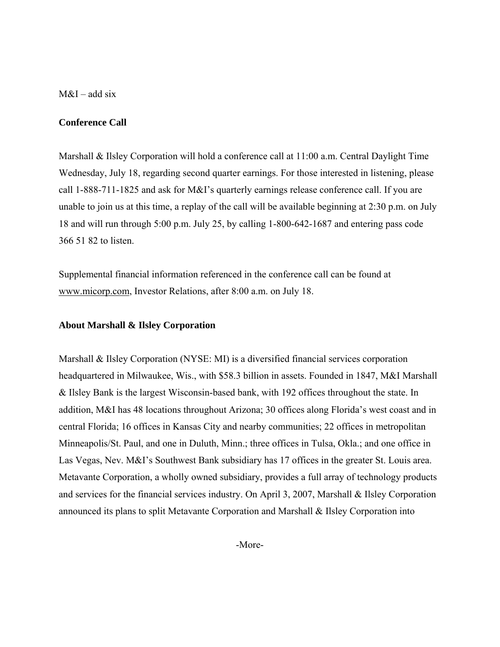$M&I$  – add six

#### **Conference Call**

Marshall & Ilsley Corporation will hold a conference call at 11:00 a.m. Central Daylight Time Wednesday, July 18, regarding second quarter earnings. For those interested in listening, please call 1-888-711-1825 and ask for M&I's quarterly earnings release conference call. If you are unable to join us at this time, a replay of the call will be available beginning at 2:30 p.m. on July 18 and will run through 5:00 p.m. July 25, by calling 1-800-642-1687 and entering pass code 366 51 82 to listen.

Supplemental financial information referenced in the conference call can be found at www.micorp.com, Investor Relations, after 8:00 a.m. on July 18.

#### **About Marshall & Ilsley Corporation**

Marshall & Ilsley Corporation (NYSE: MI) is a diversified financial services corporation headquartered in Milwaukee, Wis., with \$58.3 billion in assets. Founded in 1847, M&I Marshall & Ilsley Bank is the largest Wisconsin-based bank, with 192 offices throughout the state. In addition, M&I has 48 locations throughout Arizona; 30 offices along Florida's west coast and in central Florida; 16 offices in Kansas City and nearby communities; 22 offices in metropolitan Minneapolis/St. Paul, and one in Duluth, Minn.; three offices in Tulsa, Okla.; and one office in Las Vegas, Nev. M&I's Southwest Bank subsidiary has 17 offices in the greater St. Louis area. Metavante Corporation, a wholly owned subsidiary, provides a full array of technology products and services for the financial services industry. On April 3, 2007, Marshall & Ilsley Corporation announced its plans to split Metavante Corporation and Marshall & Ilsley Corporation into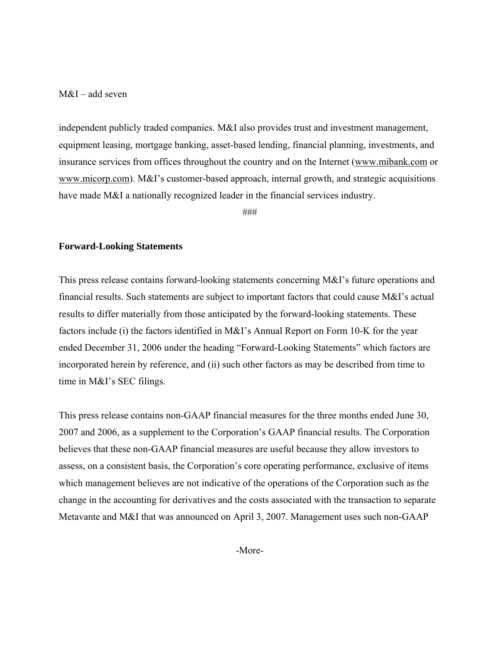#### M&I – add seven

independent publicly traded companies. M&I also provides trust and investment management, equipment leasing, mortgage banking, asset-based lending, financial planning, investments, and insurance services from offices throughout the country and on the Internet (www.mibank.com or www.micorp.com). M&I's customer-based approach, internal growth, and strategic acquisitions have made M&I a nationally recognized leader in the financial services industry.

###

#### **Forward-Looking Statements**

This press release contains forward-looking statements concerning M&I's future operations and financial results. Such statements are subject to important factors that could cause M&I's actual results to differ materially from those anticipated by the forward-looking statements. These factors include (i) the factors identified in M&I's Annual Report on Form 10-K for the year ended December 31, 2006 under the heading "Forward-Looking Statements" which factors are incorporated herein by reference, and (ii) such other factors as may be described from time to time in M&I's SEC filings.

This press release contains non-GAAP financial measures for the three months ended June 30, 2007 and 2006, as a supplement to the Corporation's GAAP financial results. The Corporation believes that these non-GAAP financial measures are useful because they allow investors to assess, on a consistent basis, the Corporation's core operating performance, exclusive of items which management believes are not indicative of the operations of the Corporation such as the change in the accounting for derivatives and the costs associated with the transaction to separate Metavante and M&I that was announced on April 3, 2007. Management uses such non-GAAP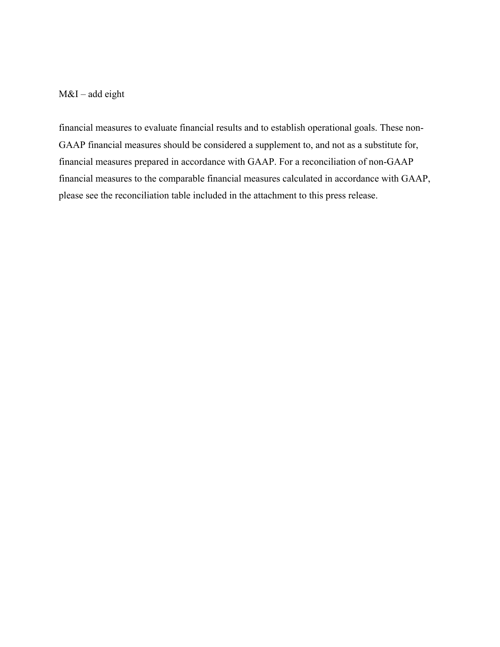## M&I – add eight

financial measures to evaluate financial results and to establish operational goals. These non-GAAP financial measures should be considered a supplement to, and not as a substitute for, financial measures prepared in accordance with GAAP. For a reconciliation of non-GAAP financial measures to the comparable financial measures calculated in accordance with GAAP, please see the reconciliation table included in the attachment to this press release.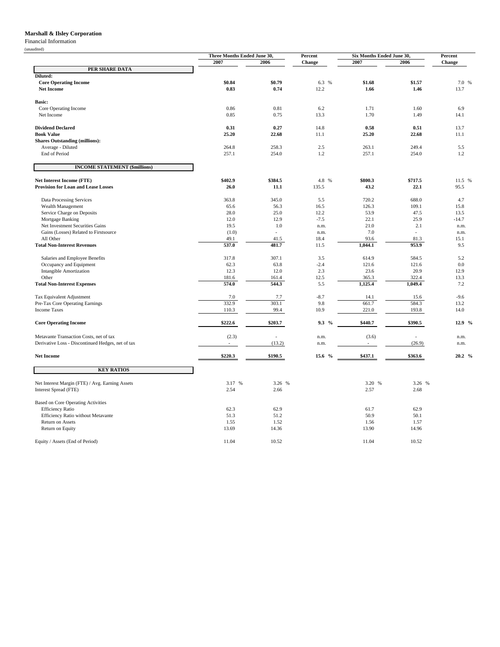#### **Marshall & Ilsley Corporation**

#### Financial Information

|                                                   | Three Months Ended June 30, |                | Percent     | Six Months Ended June 30, |                  | Percent     |
|---------------------------------------------------|-----------------------------|----------------|-------------|---------------------------|------------------|-------------|
|                                                   | 2007                        | 2006           | Change      | 2007                      | 2006             | Change      |
| PER SHARE DATA                                    |                             |                |             |                           |                  |             |
| Diluted:                                          |                             |                |             |                           |                  |             |
| <b>Core Operating Income</b>                      | \$0.84                      | \$0.79         | 6.3 %       | \$1.68                    | \$1.57           | 7.0 %       |
| <b>Net Income</b>                                 | 0.83                        | 0.74           | 12.2        | 1.66                      | 1.46             | 13.7        |
|                                                   |                             |                |             |                           |                  |             |
| <b>Basic:</b>                                     |                             |                |             |                           |                  |             |
| Core Operating Income<br>Net Income               | 0.86<br>0.85                | 0.81<br>0.75   | 6.2<br>13.3 | 1.71<br>1.70              | 1.60<br>1.49     | 6.9<br>14.1 |
|                                                   |                             |                |             |                           |                  |             |
| <b>Dividend Declared</b>                          | 0.31                        | 0.27           | 14.8        | 0.58                      | 0.51             | 13.7        |
| <b>Book Value</b>                                 | 25.20                       | 22.68          | 11.1        | 25.20                     | 22.68            | 11.1        |
| <b>Shares Outstanding (millions):</b>             |                             |                |             |                           |                  |             |
| Average - Diluted                                 | 264.8                       | 258.3          | 2.5         | 263.1                     | 249.4            | 5.5         |
| End of Period                                     | 257.1                       | 254.0          | 1.2         | 257.1                     | 254.0            | 1.2         |
| <b>INCOME STATEMENT (\$millions)</b>              |                             |                |             |                           |                  |             |
| Net Interest Income (FTE)                         | \$402.9                     | \$384.5        | 4.8 %       | \$800.3                   | \$717.5          | 11.5 %      |
| <b>Provision for Loan and Lease Losses</b>        | 26.0                        | 11.1           | 135.5       | 43.2                      | 22.1             | 95.5        |
|                                                   |                             |                |             |                           |                  |             |
| Data Processing Services                          | 363.8                       | 345.0          | 5.5         | 720.2                     | 688.0            | 4.7         |
| Wealth Management                                 | 65.6                        | 56.3           | 16.5        | 126.3                     | 109.1            | 15.8        |
| Service Charge on Deposits                        | 28.0                        | 25.0           | 12.2        | 53.9                      | 47.5             | 13.5        |
| Mortgage Banking                                  | 12.0                        | 12.9           | $-7.5$      | 22.1                      | 25.9             | $-14.7$     |
| Net Investment Securities Gains                   | 19.5                        | 1.0            | n.m.        | 21.0                      | 2.1              | n.m.        |
| Gains (Losses) Related to Firstsource             | (1.0)                       | $\overline{a}$ | n.m.        | 7.0                       | $\overline{a}$   | n.m.        |
| All Other                                         | 49.1                        | 41.5           | 18.4        | 93.6                      | 81.3             | 15.1        |
| <b>Total Non-Interest Revenues</b>                | 537.0                       | 481.7          | 11.5        | 1,044.1                   | 953.9            | 9.5         |
| Salaries and Employee Benefits                    | 317.8                       | 307.1          | 3.5         | 614.9                     | 584.5            | 5.2         |
|                                                   | 62.3                        | 63.8           | $-2.4$      | 121.6                     | 121.6            | 0.0         |
| Occupancy and Equipment                           |                             |                |             |                           |                  |             |
| <b>Intangible Amortization</b>                    | 12.3                        | 12.0           | 2.3         | 23.6                      | 20.9             | 12.9        |
| Other<br><b>Total Non-Interest Expenses</b>       | 181.6<br>574.0              | 161.4<br>544.3 | 12.5<br>5.5 | 365.3<br>1,125.4          | 322.4<br>1.049.4 | 13.3<br>7.2 |
|                                                   |                             |                |             |                           |                  |             |
| Tax Equivalent Adjustment                         | 7.0                         | 7.7            | $-8.7$      | 14.1                      | 15.6             | $-9.6$      |
| Pre-Tax Core Operating Earnings                   | 332.9                       | 303.1          | 9.8         | 661.7                     | 584.3            | 13.2        |
| <b>Income Taxes</b>                               | 110.3                       | 99.4           | 10.9        | 221.0                     | 193.8            | 14.0        |
| <b>Core Operating Income</b>                      | \$222.6                     | \$203.7        | 9.3 %       | \$440.7                   | \$390.5          | 12.9 %      |
| Metavante Transaction Costs, net of tax           | (2.3)                       | $\overline{a}$ | n.m.        | (3.6)                     |                  | n.m.        |
| Derivative Loss - Discontinued Hedges, net of tax | $\mathcal{L}_{\mathcal{A}}$ | (13.2)         | n.m.        | $\overline{\phantom{a}}$  | (26.9)           | n.m.        |
| <b>Net Income</b>                                 | \$220.3                     | \$190.5        | 15.6 %      | \$437.1                   | \$363.6          | 20.2 %      |
| <b>KEY RATIOS</b>                                 |                             |                |             |                           |                  |             |
|                                                   |                             |                |             |                           |                  |             |
| Net Interest Margin (FTE) / Avg. Earning Assets   | 3.17 %                      | 3.26 %         |             | 3.20 %                    | 3.26 %           |             |
| Interest Spread (FTE)                             | 2.54                        | 2.66           |             | 2.57                      | 2.68             |             |
| <b>Based on Core Operating Activities</b>         |                             |                |             |                           |                  |             |
| <b>Efficiency Ratio</b>                           | 62.3                        | 62.9           |             | 61.7                      | 62.9             |             |
| Efficiency Ratio without Metavante                | 51.3                        | 51.2           |             | 50.9                      | 50.1             |             |
| Return on Assets                                  | 1.55                        | 1.52           |             | 1.56                      | 1.57             |             |
| Return on Equity                                  | 13.69                       | 14.36          |             | 13.90                     | 14.96            |             |
|                                                   |                             |                |             |                           |                  |             |
| Equity / Assets (End of Period)                   | 11.04                       | 10.52          |             | 11.04                     | 10.52            |             |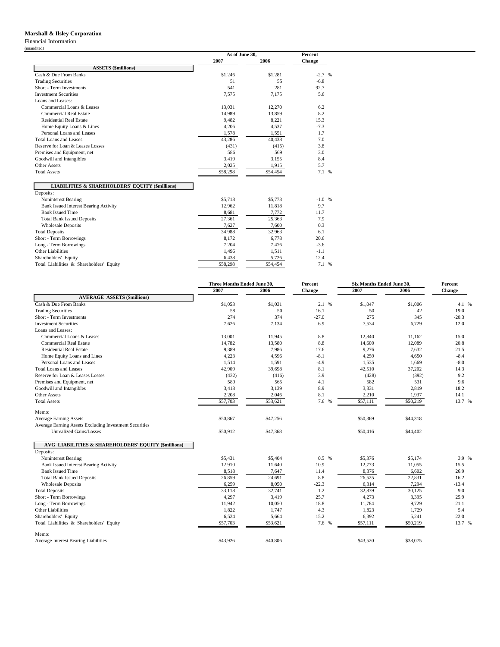#### **Marshall & Ilsley Corporation**

Financial Information (unaudited)

|                                                            | As of June 30, |          | Percent  |  |
|------------------------------------------------------------|----------------|----------|----------|--|
|                                                            | 2007           | 2006     | Change   |  |
| <b>ASSETS (\$millions)</b>                                 |                |          |          |  |
| Cash & Due From Banks                                      | \$1,246        | \$1,281  | $-2.7$ % |  |
| <b>Trading Securities</b>                                  | 51             | 55       | $-6.8$   |  |
| Short - Term Investments                                   | 541            | 281      | 92.7     |  |
| <b>Investment Securities</b>                               | 7,575          | 7,175    | 5.6      |  |
| Loans and Leases:                                          |                |          |          |  |
| Commercial Loans & Leases                                  | 13.031         | 12,270   | 6.2      |  |
| Commercial Real Estate                                     | 14,989         | 13,859   | 8.2      |  |
| <b>Residential Real Estate</b>                             | 9,482          | 8,221    | 15.3     |  |
| Home Equity Loans & Lines                                  | 4,206          | 4,537    | $-7.3$   |  |
| Personal Loans and Leases                                  | 1,578          | 1,551    | 1.7      |  |
| Total Loans and Leases                                     | 43,286         | 40,438   | 7.0      |  |
| Reserve for Loan & Leases Losses                           | (431)          | (415)    | 3.8      |  |
| Premises and Equipment, net                                | 586            | 569      | 3.0      |  |
| Goodwill and Intangibles                                   | 3,419          | 3,155    | 8.4      |  |
| Other Assets                                               | 2,025          | 1,915    | 5.7      |  |
| <b>Total Assets</b>                                        | \$58,298       | \$54,454 | 7.1 %    |  |
| <b>LIABILITIES &amp; SHAREHOLDERS' EQUITY (\$millions)</b> |                |          |          |  |
| Deposits:                                                  |                |          |          |  |
| Noninterest Bearing                                        | \$5,718        | \$5,773  | $-1.0%$  |  |
| <b>Bank Issued Interest Bearing Activity</b>               | 12,962         | 11,818   | 9.7      |  |
| <b>Bank Issued Time</b>                                    | 8,681          | 7.772    | 11.7     |  |
| <b>Total Bank Issued Deposits</b>                          | 27,361         | 25,363   | 7.9      |  |
| <b>Wholesale Deposits</b>                                  | 7.627          | 7.600    | 0.3      |  |
| <b>Total Deposits</b>                                      | 34,988         | 32,963   | 6.1      |  |
| Short - Term Borrowings                                    | 8,172          | 6,778    | 20.6     |  |
| Long - Term Borrowings                                     | 7,204          | 7,476    | $-3.6$   |  |
| Other Liabilities                                          | 1,496          | 1,511    | $-1.1$   |  |
| Shareholders' Equity                                       | 6,438          | 5,726    | 12.4     |  |
| Total Liabilities & Shareholders' Equity                   | \$58,298       | \$54,454 | 7.1 %    |  |

|                                                        | Three Months Ended June 30. |          | Percent<br>Six Months Ended June 30. |          |          | Percent |
|--------------------------------------------------------|-----------------------------|----------|--------------------------------------|----------|----------|---------|
|                                                        | 2007                        | 2006     | Change                               | 2007     | 2006     | Change  |
| <b>AVERAGE ASSETS (\$millions)</b>                     |                             |          |                                      |          |          |         |
| Cash & Due From Banks                                  | \$1,053                     | \$1,031  | 2.1%                                 | \$1,047  | \$1,006  | 4.1 %   |
| <b>Trading Securities</b>                              | 58                          | 50       | 16.1                                 | 50       | 42       | 19.0    |
| Short - Term Investments                               | 274                         | 374      | $-27.0$                              | 275      | 345      | $-20.3$ |
| <b>Investment Securities</b>                           | 7,626                       | 7,134    | 6.9                                  | 7,534    | 6,729    | 12.0    |
| Loans and Leases:                                      |                             |          |                                      |          |          |         |
| Commercial Loans & Leases                              | 13,001                      | 11,945   | 8.8                                  | 12,840   | 11,162   | 15.0    |
| <b>Commercial Real Estate</b>                          | 14,782                      | 13,580   | $8.8\,$                              | 14,600   | 12,089   | 20.8    |
| <b>Residential Real Estate</b>                         | 9,389                       | 7,986    | 17.6                                 | 9,276    | 7,632    | 21.5    |
| Home Equity Loans and Lines                            | 4,223                       | 4,596    | $-8.1$                               | 4,259    | 4,650    | $-8.4$  |
| Personal Loans and Leases                              | 1,514                       | 1,591    | $-4.9$                               | 1,535    | 1,669    | $-8.0$  |
| Total Loans and Leases                                 | 42,909                      | 39,698   | 8.1                                  | 42,510   | 37,202   | 14.3    |
| Reserve for Loan & Leases Losses                       | (432)                       | (416)    | 3.9                                  | (428)    | (392)    | 9.2     |
| Premises and Equipment, net                            | 589                         | 565      | 4.1                                  | 582      | 531      | 9.6     |
| Goodwill and Intangibles                               | 3,418                       | 3,139    | 8.9                                  | 3,331    | 2,819    | 18.2    |
| <b>Other Assets</b>                                    | 2,208                       | 2,046    | 8.1                                  | 2,210    | 1,937    | 14.1    |
| <b>Total Assets</b>                                    | \$57,703                    | \$53,621 | 7.6 %                                | \$57,111 | \$50,219 | 13.7 %  |
| Memo:                                                  |                             |          |                                      |          |          |         |
| <b>Average Earning Assets</b>                          | \$50,867                    | \$47,256 |                                      | \$50,369 | \$44,318 |         |
| Average Earning Assets Excluding Investment Securities |                             |          |                                      |          |          |         |
| Unrealized Gains/Losses                                | \$50,912                    | \$47,368 |                                      | \$50,416 | \$44,402 |         |
| AVG LIABILITIES & SHAREHOLDERS' EQUITY (\$millions)    |                             |          |                                      |          |          |         |
| Deposits:                                              |                             |          |                                      |          |          |         |
| Noninterest Bearing                                    | \$5,431                     | \$5,404  | $0.5\%$                              | \$5,376  | \$5,174  | 3.9 %   |
| <b>Bank Issued Interest Bearing Activity</b>           | 12,910                      | 11,640   | 10.9                                 | 12,773   | 11,055   | 15.5    |
| <b>Bank Issued Time</b>                                | 8,518                       | 7,647    | 11.4                                 | 8,376    | 6,602    | 26.9    |
| <b>Total Bank Issued Deposits</b>                      | 26,859                      | 24,691   | 8.8                                  | 26,525   | 22,831   | 16.2    |
| <b>Wholesale Deposits</b>                              | 6,259                       | 8,050    | $-22.3$                              | 6,314    | 7,294    | $-13.4$ |
| <b>Total Deposits</b>                                  | 33,118                      | 32,741   | 1.2                                  | 32,839   | 30,125   | 9.0     |
| Short - Term Borrowings                                | 4,297                       | 3,419    | 25.7                                 | 4,273    | 3,395    | 25.9    |
| Long - Term Borrowings                                 | 11,942                      | 10,050   | 18.8                                 | 11,784   | 9,729    | 21.1    |
| Other Liabilities                                      | 1,822                       | 1,747    | 4.3                                  | 1,823    | 1,729    | 5.4     |
| Shareholders' Equity                                   | 6,524                       | 5,664    | 15.2                                 | 6,392    | 5,241    | 22.0    |
| Total Liabilities & Shareholders' Equity               | \$57,703                    | \$53,621 | 7.6 %                                | \$57,111 | \$50,219 | 13.7 %  |
| Memo:                                                  |                             |          |                                      |          |          |         |
| Average Interest Bearing Liabilities                   | \$43,926                    | \$40,806 |                                      | \$43,520 | \$38,075 |         |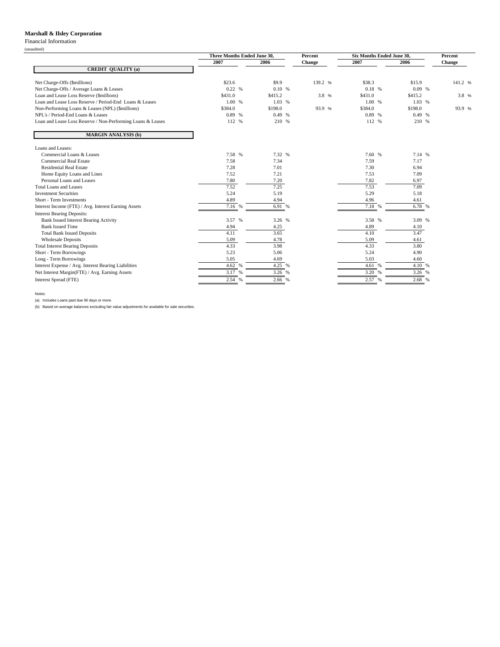#### **Marshall & Ilsley Corporation**

#### Financial Information

|                                                             | Three Months Ended June 30, |         | Percent | Six Months Ended June 30, |         | Percent       |
|-------------------------------------------------------------|-----------------------------|---------|---------|---------------------------|---------|---------------|
|                                                             | 2007                        | 2006    | Change  | 2007                      | 2006    | <b>Change</b> |
| <b>CREDIT QUALITY (a)</b>                                   |                             |         |         |                           |         |               |
| Net Charge-Offs (\$millions)                                | \$23.6                      | \$9.9   | 139.2 % | \$38.3                    | \$15.9  | 141.2 %       |
| Net Charge-Offs / Average Loans & Leases                    | 0.22%                       | 0.10%   |         | 0.18 %                    | 0.09%   |               |
| Loan and Lease Loss Reserve (\$millions)                    | \$431.0                     | \$415.2 | 3.8 %   | \$431.0                   | \$415.2 | 3.8 %         |
| Loan and Lease Loss Reserve / Period-End Loans & Leases     | 1.00 %                      | 1.03 %  |         | 1.00 %                    | 1.03 %  |               |
| Non-Performing Loans & Leases (NPL) (\$millions)            | \$384.0                     | \$198.0 | 93.9 %  | \$384.0                   | \$198.0 | 93.9 %        |
| NPL's / Period-End Loans & Leases                           | 0.89 %                      | 0.49%   |         | 0.89 %                    | 0.49%   |               |
| Loan and Lease Loss Reserve / Non-Performing Loans & Leases | 112 %                       | 210 %   |         | 112 %                     | 210 %   |               |
| <b>MARGIN ANALYSIS (b)</b>                                  |                             |         |         |                           |         |               |
| Loans and Leases:                                           |                             |         |         |                           |         |               |
| Commercial Loans & Leases                                   | 7.58 %                      | 7.32 %  |         | 7.60 %                    | 7.14 %  |               |
| Commercial Real Estate                                      | 7.58                        | 7.34    |         | 7.59                      | 7.17    |               |
| <b>Residential Real Estate</b>                              | 7.28                        | 7.01    |         | 7.30                      | 6.94    |               |
| Home Equity Loans and Lines                                 | 7.52                        | 7.21    |         | 7.53                      | 7.09    |               |
| Personal Loans and Leases                                   | 7.80                        | 7.20    |         | 7.82                      | 6.97    |               |
| Total Loans and Leases                                      | 7.52                        | 7.25    |         | 7.53                      | 7.09    |               |
| <b>Investment Securities</b>                                | 5.24                        | 5.19    |         | 5.29                      | 5.18    |               |
| Short - Term Investments                                    | 4.89                        | 4.94    |         | 4.96                      | 4.61    |               |
| Interest Income (FTE) / Avg. Interest Earning Assets        | 7.16 %                      | 6.91 %  |         | 7.18 %                    | 6.78 %  |               |
| <b>Interest Bearing Deposits:</b>                           |                             |         |         |                           |         |               |
| <b>Bank Issued Interest Bearing Activity</b>                | 3.57 %                      | 3.26 %  |         | 3.58 %                    | 3.09 %  |               |
| <b>Bank Issued Time</b>                                     | 4.94                        | 4.25    |         | 4.89                      | 4.10    |               |
| <b>Total Bank Issued Deposits</b>                           | 4.11                        | 3.65    |         | 4.10                      | 3.47    |               |
| <b>Wholesale Deposits</b>                                   | 5.09                        | 4.78    |         | 5.09                      | 4.61    |               |
| <b>Total Interest Bearing Deposits</b>                      | 4.33                        | 3.98    |         | 4.33                      | 3.80    |               |
| Short - Term Borrowings                                     | 5.23                        | 5.06    |         | 5.24                      | 4.90    |               |
| Long - Term Borrowings                                      | 5.05                        | 4.69    |         | 5.03                      | 4.60    |               |
| Interest Expense / Avg. Interest Bearing Liabilities        | 4.62 %                      | 4.25 %  |         | 4.61 %                    | 4.10 %  |               |
| Net Interest Margin(FTE) / Avg. Earning Assets              | 3.17 %                      | 3.26 %  |         | 3.20<br>$\%$              | 3.26 %  |               |
| Interest Spread (FTE)                                       | 2.54 %                      | 2.66 %  |         | 2.57 %                    | 2.68 %  |               |

Notes:

(a) Includes Loans past due 90 days or more.

(b) Based on average balances excluding fair value adjustments for available for sale securities.